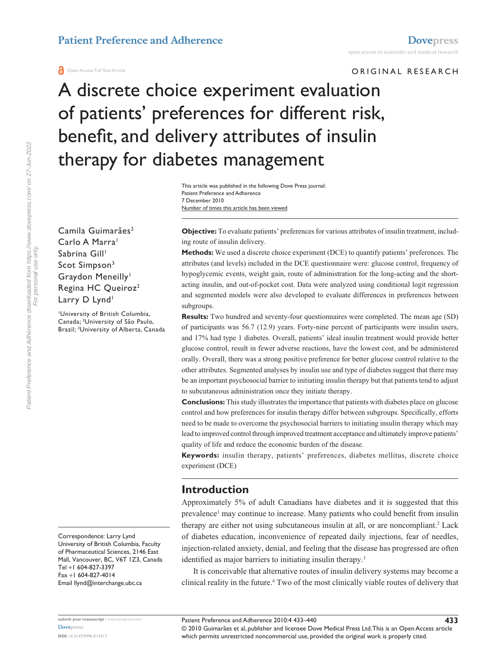### Patient Preference and Adherence **[Dovepress](www.dovepress.com)**

**a** Open Access Full Text Article

ORIGINAL RESEARCH

A discrete choice experiment evaluation of patients' preferences for different risk, benefit, and delivery attributes of insulin therapy for diabetes management

> Number of times this article has been viewed This article was published in the following Dove Press journal: Patient Preference and Adherence 7 December 2010

Camila Guimarães<sup>2</sup> Carlo A Marra<sup>1</sup> Sabrina Gill<sup>1</sup> Scot Simpson<sup>3</sup> Graydon Meneilly<sup>1</sup> Regina HC Queiroz2 Larry D Lynd<sup>1</sup>

1 University of British Columbia, Canada; 2 University of São Paulo, Brazil; 3 University of Alberta, Canada

Correspondence: Larry Lynd University of British Columbia, Faculty of Pharmaceutical Sciences, 2146 East Mall, Vancouver, BC, V6T 1Z3, Canada Tel +1 604-827-3397 Fax +1 604-827-4014 Email [llynd@interchange.ubc.ca](mailto:llynd@interchange.ubc.ca)

**Objective:** To evaluate patients' preferences for various attributes of insulin treatment, including route of insulin delivery.

**Methods:** We used a discrete choice experiment (DCE) to quantify patients' preferences. The attributes (and levels) included in the DCE questionnaire were: glucose control, frequency of hypoglycemic events, weight gain, route of administration for the long-acting and the shortacting insulin, and out-of-pocket cost. Data were analyzed using conditional logit regression and segmented models were also developed to evaluate differences in preferences between subgroups.

**Results:** Two hundred and seventy-four questionnaires were completed. The mean age (SD) of participants was 56.7 (12.9) years. Forty-nine percent of participants were insulin users, and 17% had type 1 diabetes. Overall, patients' ideal insulin treatment would provide better glucose control, result in fewer adverse reactions, have the lowest cost, and be administered orally. Overall, there was a strong positive preference for better glucose control relative to the other attributes. Segmented analyses by insulin use and type of diabetes suggest that there may be an important psychosocial barrier to initiating insulin therapy but that patients tend to adjust to subcutaneous administration once they initiate therapy.

**Conclusions:** This study illustrates the importance that patients with diabetes place on glucose control and how preferences for insulin therapy differ between subgroups. Specifically, efforts need to be made to overcome the psychosocial barriers to initiating insulin therapy which may lead to improved control through improved treatment acceptance and ultimately improve patients' quality of life and reduce the economic burden of the disease.

**Keywords:** insulin therapy, patients' preferences, diabetes mellitus, discrete choice experiment (DCE)

#### **Introduction**

Approximately 5% of adult Canadians have diabetes and it is suggested that this prevalence<sup>1</sup> may continue to increase. Many patients who could benefit from insulin therapy are either not using subcutaneous insulin at all, or are noncompliant.<sup>2</sup> Lack of diabetes education, inconvenience of repeated daily injections, fear of needles, injection-related anxiety, denial, and feeling that the disease has progressed are often identified as major barriers to initiating insulin therapy.<sup>3</sup>

It is conceivable that alternative routes of insulin delivery systems may become a clinical reality in the future.4 Two of the most clinically viable routes of delivery that

© 2010 Guimarães et al, publisher and licensee Dove Medical Press Ltd. This is an Open Access article which permits unrestricted noncommercial use, provided the original work is properly cited.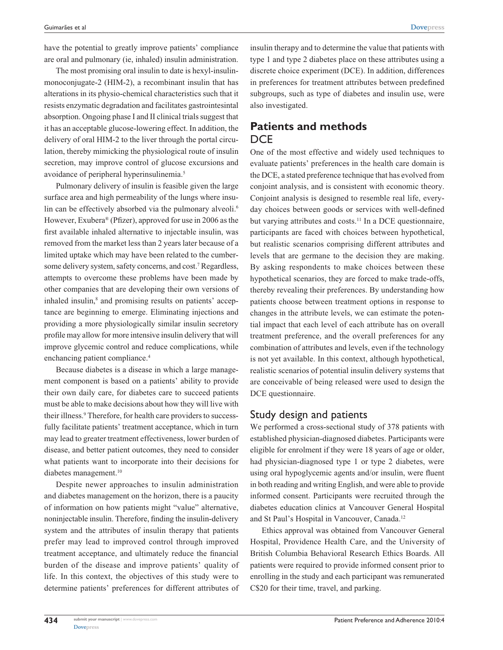have the potential to greatly improve patients' compliance are oral and pulmonary (ie, inhaled) insulin administration.

The most promising oral insulin to date is hexyl-insulinmonoconjugate-2 (HIM-2), a recombinant insulin that has alterations in its physio-chemical characteristics such that it resists enzymatic degradation and facilitates gastrointesintal absorption. Ongoing phase I and II clinical trials suggest that it has an acceptable glucose-lowering effect. In addition, the delivery of oral HIM-2 to the liver through the portal circulation, thereby mimicking the physiological route of insulin secretion, may improve control of glucose excursions and avoidance of peripheral hyperinsulinemia.<sup>5</sup>

Pulmonary delivery of insulin is feasible given the large surface area and high permeability of the lungs where insulin can be effectively absorbed via the pulmonary alveoli.<sup>6</sup> However, Exubera® (Pfizer), approved for use in 2006 as the first available inhaled alternative to injectable insulin, was removed from the market less than 2 years later because of a limited uptake which may have been related to the cumbersome delivery system, safety concerns, and cost.7 Regardless, attempts to overcome these problems have been made by other companies that are developing their own versions of inhaled insulin,<sup>8</sup> and promising results on patients' acceptance are beginning to emerge. Eliminating injections and providing a more physiologically similar insulin secretory profile may allow for more intensive insulin delivery that will improve glycemic control and reduce complications, while enchancing patient compliance.<sup>4</sup>

Because diabetes is a disease in which a large management component is based on a patients' ability to provide their own daily care, for diabetes care to succeed patients must be able to make decisions about how they will live with their illness.<sup>9</sup> Therefore, for health care providers to successfully facilitate patients' treatment acceptance, which in turn may lead to greater treatment effectiveness, lower burden of disease, and better patient outcomes, they need to consider what patients want to incorporate into their decisions for diabetes management.<sup>10</sup>

Despite newer approaches to insulin administration and diabetes management on the horizon, there is a paucity of information on how patients might "value" alternative, noninjectable insulin. Therefore, finding the insulin-delivery system and the attributes of insulin therapy that patients prefer may lead to improved control through improved treatment acceptance, and ultimately reduce the financial burden of the disease and improve patients' quality of life. In this context, the objectives of this study were to determine patients' preferences for different attributes of

insulin therapy and to determine the value that patients with type 1 and type 2 diabetes place on these attributes using a discrete choice experiment (DCE). In addition, differences in preferences for treatment attributes between predefined subgroups, such as type of diabetes and insulin use, were also investigated.

# **Patients and methods DCE**

One of the most effective and widely used techniques to evaluate patients' preferences in the health care domain is the DCE, a stated preference technique that has evolved from conjoint analysis, and is consistent with economic theory. Conjoint analysis is designed to resemble real life, everyday choices between goods or services with well-defined but varying attributes and costs.<sup>11</sup> In a DCE questionnaire, participants are faced with choices between hypothetical, but realistic scenarios comprising different attributes and levels that are germane to the decision they are making. By asking respondents to make choices between these hypothetical scenarios, they are forced to make trade-offs, thereby revealing their preferences. By understanding how patients choose between treatment options in response to changes in the attribute levels, we can estimate the potential impact that each level of each attribute has on overall treatment preference, and the overall preferences for any combination of attributes and levels, even if the technology is not yet available. In this context, although hypothetical, realistic scenarios of potential insulin delivery systems that are conceivable of being released were used to design the DCE questionnaire.

## Study design and patients

We performed a cross-sectional study of 378 patients with established physician-diagnosed diabetes. Participants were eligible for enrolment if they were 18 years of age or older, had physician-diagnosed type 1 or type 2 diabetes, were using oral hypoglycemic agents and/or insulin, were fluent in both reading and writing English, and were able to provide informed consent. Participants were recruited through the diabetes education clinics at Vancouver General Hospital and St Paul's Hospital in Vancouver, Canada.12

Ethics approval was obtained from Vancouver General Hospital, Providence Health Care, and the University of British Columbia Behavioral Research Ethics Boards. All patients were required to provide informed consent prior to enrolling in the study and each participant was remunerated C\$20 for their time, travel, and parking.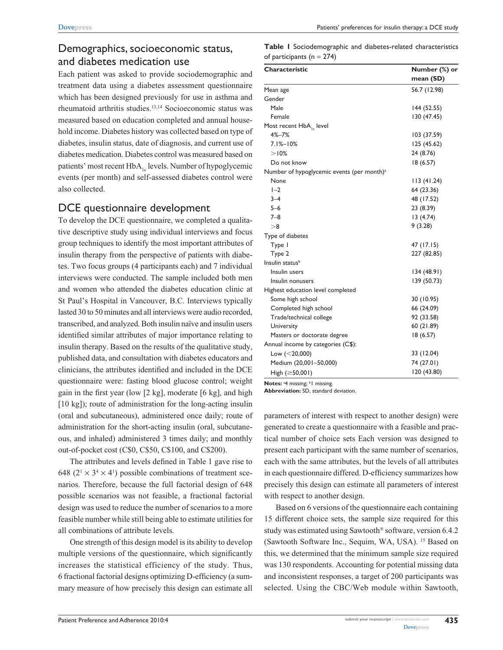# Demographics, socioeconomic status, and diabetes medication use

Each patient was asked to provide sociodemographic and treatment data using a diabetes assessment questionnaire which has been designed previously for use in asthma and rheumatoid arthritis studies.13,14 Socioeconomic status was measured based on education completed and annual household income. Diabetes history was collected based on type of diabetes, insulin status, date of diagnosis, and current use of diabetes medication. Diabetes control was measured based on patients' most recent HbA<sub>1</sub> levels. Number of hypoglycemic events (per month) and self-assessed diabetes control were also collected.

## DCE questionnaire development

To develop the DCE questionnaire, we completed a qualitative descriptive study using individual interviews and focus group techniques to identify the most important attributes of insulin therapy from the perspective of patients with diabetes. Two focus groups (4 participants each) and 7 individual interviews were conducted. The sample included both men and women who attended the diabetes education clinic at St Paul's Hospital in Vancouver, B.C. Interviews typically lasted 30 to 50 minutes and all interviews were audio recorded, transcribed, and analyzed. Both insulin naïve and insulin users identified similar attributes of major importance relating to insulin therapy. Based on the results of the qualitative study, published data, and consultation with diabetes educators and clinicians, the attributes identified and included in the DCE questionnaire were: fasting blood glucose control; weight gain in the first year (low [2 kg], moderate [6 kg], and high [10 kg]); route of administration for the long-acting insulin (oral and subcutaneous), administered once daily; route of administration for the short-acting insulin (oral, subcutaneous, and inhaled) administered 3 times daily; and monthly out-of-pocket cost (C\$0, C\$50, C\$100, and C\$200).

The attributes and levels defined in Table 1 gave rise to 648 ( $2^1 \times 3^4 \times 4^1$ ) possible combinations of treatment scenarios. Therefore, because the full factorial design of 648 possible scenarios was not feasible, a fractional factorial design was used to reduce the number of scenarios to a more feasible number while still being able to estimate utilities for all combinations of attribute levels.

One strength of this design model is its ability to develop multiple versions of the questionnaire, which significantly increases the statistical efficiency of the study. Thus, 6 fractional factorial designs optimizing D-efficiency (a summary measure of how precisely this design can estimate all

**Table 1** Sociodemographic and diabetes-related characteristics of participants ( $n = 274$ )

| Characteristic                                         | Number (%) or<br>mean (SD) |
|--------------------------------------------------------|----------------------------|
| Mean age                                               | 56.7 (12.98)               |
| Gender                                                 |                            |
| Male                                                   | 144 (52.55)                |
| Female                                                 | 130 (47.45)                |
| Most recent HbA <sub>1c</sub> level                    |                            |
| $4% - 7%$                                              | 103 (37.59)                |
| $7.1\% - 10\%$                                         | 125 (45.62)                |
| $>$ 10%                                                | 24 (8.76)                  |
| Do not know                                            | 18(6.57)                   |
| Number of hypoglycemic events (per month) <sup>a</sup> |                            |
| None                                                   | 113(41.24)                 |
| $1-2$                                                  | 64 (23.36)                 |
| $3 - 4$                                                | 48 (17.52)                 |
| $5 - 6$                                                | 23 (8.39)                  |
| $7 - 8$                                                | 13(4.74)                   |
| >8                                                     | 9(3.28)                    |
| Type of diabetes                                       |                            |
| Type I                                                 | 47 (17.15)                 |
| Type 2                                                 | 227 (82.85)                |
| Insulin status <sup>b</sup>                            |                            |
| Insulin users                                          | 134 (48.91)                |
| Insulin nonusers                                       | 139 (50.73)                |
| Highest education level completed                      |                            |
| Some high school                                       | 30 (10.95)                 |
| Completed high school                                  | 66 (24.09)                 |
| Trade/technical college                                | 92 (33.58)                 |
| University                                             | 60 (21.89)                 |
| Masters or doctorate degree                            | 18 (6.57)                  |
| Annual income by categories (C\$):                     |                            |
| Low $(< 20,000)$                                       | 33 (12.04)                 |
| Medium (20,001-50,000)                                 | 74 (27.01)                 |
| High $( \ge 50,001)$                                   | 120 (43.80)                |

Notes: <sup>a</sup>4 missing; <sup>b</sup>1 missing.

**Abbreviation:** SD, standard deviation.

parameters of interest with respect to another design) were generated to create a questionnaire with a feasible and practical number of choice sets Each version was designed to present each participant with the same number of scenarios, each with the same attributes, but the levels of all attributes in each questionnaire differed. D-efficiency summarizes how precisely this design can estimate all parameters of interest with respect to another design.

Based on 6 versions of the questionnaire each containing 15 different choice sets, the sample size required for this study was estimated using Sawtooth® software, version 6.4.2 (Sawtooth Software Inc., Sequim, WA, USA). 15 Based on this, we determined that the minimum sample size required was 130 respondents. Accounting for potential missing data and inconsistent responses, a target of 200 participants was selected. Using the CBC/Web module within Sawtooth,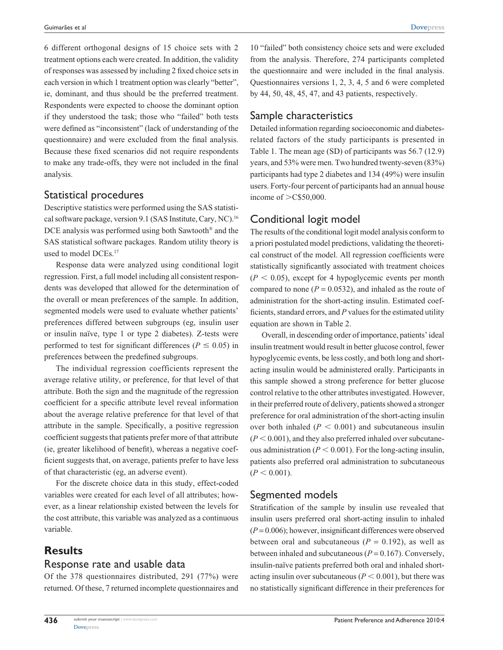6 different orthogonal designs of 15 choice sets with 2 treatment options each were created. In addition, the validity of responses was assessed by including 2 fixed choice sets in each version in which 1 treatment option was clearly "better", ie, dominant, and thus should be the preferred treatment. Respondents were expected to choose the dominant option if they understood the task; those who "failed" both tests were defined as "inconsistent" (lack of understanding of the questionnaire) and were excluded from the final analysis. Because these fixed scenarios did not require respondents to make any trade-offs, they were not included in the final analysis.

### Statistical procedures

Descriptive statistics were performed using the SAS statistical software package, version 9.1 (SAS Institute, Cary, NC).16 DCE analysis was performed using both Sawtooth® and the SAS statistical software packages. Random utility theory is used to model DCEs.<sup>17</sup>

Response data were analyzed using conditional logit regression. First, a full model including all consistent respondents was developed that allowed for the determination of the overall or mean preferences of the sample. In addition, segmented models were used to evaluate whether patients' preferences differed between subgroups (eg, insulin user or insulin naïve, type 1 or type 2 diabetes). Z-tests were performed to test for significant differences ( $P \leq 0.05$ ) in preferences between the predefined subgroups.

The individual regression coefficients represent the average relative utility, or preference, for that level of that attribute. Both the sign and the magnitude of the regression coefficient for a specific attribute level reveal information about the average relative preference for that level of that attribute in the sample. Specifically, a positive regression coefficient suggests that patients prefer more of that attribute (ie, greater likelihood of benefit), whereas a negative coefficient suggests that, on average, patients prefer to have less of that characteristic (eg, an adverse event).

For the discrete choice data in this study, effect-coded variables were created for each level of all attributes; however, as a linear relationship existed between the levels for the cost attribute, this variable was analyzed as a continuous variable.

## **Results** Response rate and usable data

Of the 378 questionnaires distributed, 291 (77%) were returned. Of these, 7 returned incomplete questionnaires and

10 "failed" both consistency choice sets and were excluded from the analysis. Therefore, 274 participants completed the questionnaire and were included in the final analysis. Questionnaires versions 1, 2, 3, 4, 5 and 6 were completed by 44, 50, 48, 45, 47, and 43 patients, respectively.

#### Sample characteristics

Detailed information regarding socioeconomic and diabetesrelated factors of the study participants is presented in Table 1. The mean age (SD) of participants was 56.7 (12.9) years, and 53% were men. Two hundred twenty-seven (83%) participants had type 2 diabetes and 134 (49%) were insulin users. Forty-four percent of participants had an annual house income of  $\geq$ C\$50,000.

### Conditional logit model

The results of the conditional logit model analysis conform to a priori postulated model predictions, validating the theoretical construct of the model. All regression coefficients were statistically significantly associated with treatment choices  $(P < 0.05)$ , except for 4 hypoglycemic events per month compared to none  $(P = 0.0532)$ , and inhaled as the route of administration for the short-acting insulin. Estimated coefficients, standard errors, and *P* values for the estimated utility equation are shown in Table 2.

Overall, in descending order of importance, patients' ideal insulin treatment would result in better glucose control, fewer hypoglycemic events, be less costly, and both long and shortacting insulin would be administered orally. Participants in this sample showed a strong preference for better glucose control relative to the other attributes investigated. However, in their preferred route of delivery, patients showed a stronger preference for oral administration of the short-acting insulin over both inhaled  $(P < 0.001)$  and subcutaneous insulin  $(P < 0.001)$ , and they also preferred inhaled over subcutaneous administration ( $P < 0.001$ ). For the long-acting insulin, patients also preferred oral administration to subcutaneous  $(P < 0.001)$ .

#### Segmented models

Stratification of the sample by insulin use revealed that insulin users preferred oral short-acting insulin to inhaled  $(P=0.006)$ ; however, insignificant differences were observed between oral and subcutaneous ( $P = 0.192$ ), as well as between inhaled and subcutaneous  $(P = 0.167)$ . Conversely, insulin-naïve patients preferred both oral and inhaled shortacting insulin over subcutaneous ( $P \le 0.001$ ), but there was no statistically significant difference in their preferences for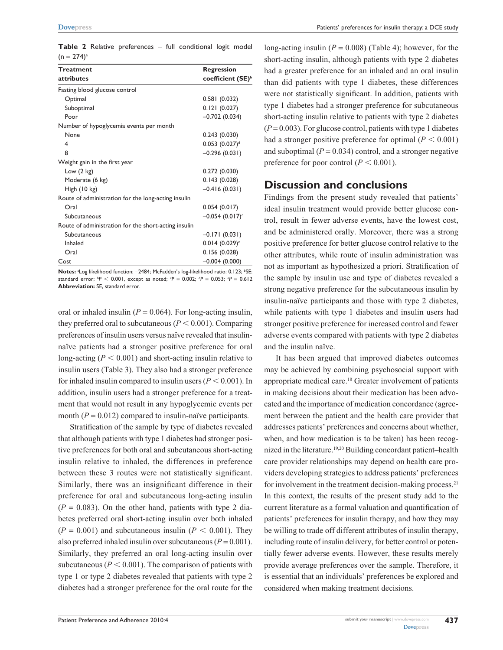**Table 2** Relative preferences – full conditional logit model  $(n = 274)^{a}$ 

| <b>Treatment</b>                                     | <b>Regression</b>             |  |  |
|------------------------------------------------------|-------------------------------|--|--|
| attributes                                           | coefficient (SE) <sup>b</sup> |  |  |
| Fasting blood glucose control                        |                               |  |  |
| Optimal                                              | 0.581(0.032)                  |  |  |
| Suboptimal                                           | 0.121(0.027)                  |  |  |
| Poor                                                 | $-0.702(0.034)$               |  |  |
| Number of hypoglycemia events per month              |                               |  |  |
| None                                                 | 0.243(0.030)                  |  |  |
| 4                                                    | $0.053$ (0.027) <sup>d</sup>  |  |  |
| 8                                                    | $-0.296(0.031)$               |  |  |
| Weight gain in the first year                        |                               |  |  |
| Low $(2 \text{ kg})$                                 | 0.272(0.030)                  |  |  |
| Moderate (6 kg)                                      | 0.143(0.028)                  |  |  |
| High (10 kg)                                         | $-0.416(0.031)$               |  |  |
| Route of administration for the long-acting insulin  |                               |  |  |
| Oral                                                 | 0.054(0.017)                  |  |  |
| Subcutaneous                                         | $-0.054(0.017)^c$             |  |  |
| Route of administration for the short-acting insulin |                               |  |  |
| Subcutaneous                                         | $-0.171(0.031)$               |  |  |
| Inhaled                                              | $0.014(0.029)$ <sup>e</sup>   |  |  |
| Oral                                                 | 0.156(0.028)                  |  |  |
| Cost                                                 | $-0.004(0.000)$               |  |  |

Notes: <sup>a</sup>Log likelihood function: -2484; McFadden's log-likelihood ratio: 0.123; <sup>b</sup>SE: standard error; <sup>b</sup>P < 0.001, except as noted; <sup>c</sup>P = 0.002; <sup>d</sup>P = 0.053; <sup>e</sup>P = 0.612 **Abbreviation:** SE, standard error.

oral or inhaled insulin ( $P = 0.064$ ). For long-acting insulin, they preferred oral to subcutaneous ( $P < 0.001$ ). Comparing preferences of insulin users versus naïve revealed that insulinnaïve patients had a stronger positive preference for oral long-acting  $(P < 0.001)$  and short-acting insulin relative to insulin users (Table 3). They also had a stronger preference for inhaled insulin compared to insulin users  $(P < 0.001)$ . In addition, insulin users had a stronger preference for a treatment that would not result in any hypoglycemic events per month  $(P = 0.012)$  compared to insulin-naïve participants.

Stratification of the sample by type of diabetes revealed that although patients with type 1 diabetes had stronger positive preferences for both oral and subcutaneous short-acting insulin relative to inhaled, the differences in preference between these 3 routes were not statistically significant. Similarly, there was an insignificant difference in their preference for oral and subcutaneous long-acting insulin  $(P = 0.083)$ . On the other hand, patients with type 2 diabetes preferred oral short-acting insulin over both inhaled  $(P = 0.001)$  and subcutaneous insulin  $(P < 0.001)$ . They also preferred inhaled insulin over subcutaneous  $(P = 0.001)$ . Similarly, they preferred an oral long-acting insulin over subcutaneous ( $P < 0.001$ ). The comparison of patients with type 1 or type 2 diabetes revealed that patients with type 2 diabetes had a stronger preference for the oral route for the long-acting insulin  $(P = 0.008)$  (Table 4); however, for the short-acting insulin, although patients with type 2 diabetes had a greater preference for an inhaled and an oral insulin than did patients with type 1 diabetes, these differences were not statistically significant. In addition, patients with type 1 diabetes had a stronger preference for subcutaneous short-acting insulin relative to patients with type 2 diabetes  $(P=0.003)$ . For glucose control, patients with type 1 diabetes had a stronger positive preference for optimal  $(P < 0.001)$ and suboptimal  $(P = 0.034)$  control, and a stronger negative preference for poor control ( $P < 0.001$ ).

### **Discussion and conclusions**

Findings from the present study revealed that patients' ideal insulin treatment would provide better glucose control, result in fewer adverse events, have the lowest cost, and be administered orally. Moreover, there was a strong positive preference for better glucose control relative to the other attributes, while route of insulin administration was not as important as hypothesized a priori. Stratification of the sample by insulin use and type of diabetes revealed a strong negative preference for the subcutaneous insulin by insulin-naïve participants and those with type 2 diabetes, while patients with type 1 diabetes and insulin users had stronger positive preference for increased control and fewer adverse events compared with patients with type 2 diabetes and the insulin naïve.

It has been argued that improved diabetes outcomes may be achieved by combining psychosocial support with appropriate medical care.18 Greater involvement of patients in making decisions about their medication has been advocated and the importance of medication concordance (agreement between the patient and the health care provider that addresses patients' preferences and concerns about whether, when, and how medication is to be taken) has been recognized in the literature.19,20 Building concordant patient–health care provider relationships may depend on health care providers developing strategies to address patients' preferences for involvement in the treatment decision-making process.<sup>21</sup> In this context, the results of the present study add to the current literature as a formal valuation and quantification of patients' preferences for insulin therapy, and how they may be willing to trade off different attributes of insulin therapy, including route of insulin delivery, for better control or potentially fewer adverse events. However, these results merely provide average preferences over the sample. Therefore, it is essential that an individuals' preferences be explored and considered when making treatment decisions.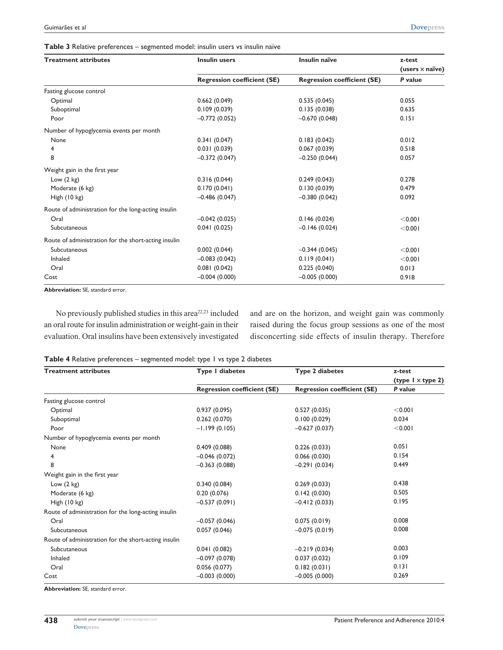#### **Table 3** Relative preferences – segmented model: insulin users vs insulin naïve

| <b>Treatment attributes</b>                          | <b>Insulin users</b>               | Insulin naïve                      | z-test                 |  |
|------------------------------------------------------|------------------------------------|------------------------------------|------------------------|--|
|                                                      |                                    |                                    | (users $\times$ naïve) |  |
|                                                      | <b>Regression coefficient (SE)</b> | <b>Regression coefficient (SE)</b> | P value                |  |
| Fasting glucose control                              |                                    |                                    |                        |  |
| Optimal                                              | 0.662(0.049)                       | 0.535(0.045)                       | 0.055                  |  |
| Suboptimal                                           | 0.109(0.039)                       | 0.135(0.038)                       | 0.635                  |  |
| Poor                                                 | $-0.772(0.052)$                    | $-0.670(0.048)$                    | 0.151                  |  |
| Number of hypoglycemia events per month              |                                    |                                    |                        |  |
| None                                                 | 0.341(0.047)                       | 0.183(0.042)                       | 0.012                  |  |
| 4                                                    | 0.031(0.039)                       | 0.067(0.039)                       | 0.518                  |  |
| 8                                                    | $-0.372(0.047)$                    | $-0.250(0.044)$                    | 0.057                  |  |
| Weight gain in the first year                        |                                    |                                    |                        |  |
| Low $(2 \text{ kg})$                                 | 0.316(0.044)                       | 0.249(0.043)                       | 0.278                  |  |
| Moderate (6 kg)                                      | 0.170(0.041)                       | 0.130(0.039)                       | 0.479                  |  |
| High $(10 \text{ kg})$                               | $-0.486(0.047)$                    | $-0.380(0.042)$                    | 0.092                  |  |
| Route of administration for the long-acting insulin  |                                    |                                    |                        |  |
| Oral                                                 | $-0.042(0.025)$                    | 0.146(0.024)                       | < 0.001                |  |
| Subcutaneous                                         | 0.041(0.025)                       | $-0.146(0.024)$                    | < 0.001                |  |
| Route of administration for the short-acting insulin |                                    |                                    |                        |  |
| Subcutaneous                                         | 0.002(0.044)                       | $-0.344(0.045)$                    | < 0.001                |  |
| Inhaled                                              | $-0.083(0.042)$                    | 0.119(0.041)                       | < 0.001                |  |
| Oral                                                 | 0.081(0.042)                       | 0.225(0.040)                       | 0.013                  |  |
| Cost                                                 | $-0.004(0.000)$                    | $-0.005(0.000)$                    | 0.918                  |  |

**Abbreviation:** SE, standard error.

No previously published studies in this area<sup>22,23</sup> included an oral route for insulin administration or weight-gain in their evaluation. Oral insulins have been extensively investigated

and are on the horizon, and weight gain was commonly raised during the focus group sessions as one of the most disconcerting side effects of insulin therapy. Therefore

|  |  | Table 4 Relative preferences - segmented model: type I vs type 2 diabetes |  |  |  |  |
|--|--|---------------------------------------------------------------------------|--|--|--|--|
|--|--|---------------------------------------------------------------------------|--|--|--|--|

| <b>Treatment attributes</b>                          | Type I diabetes                    | <b>Type 2 diabetes</b>             | z-test<br>(type $1 \times$ type 2) |  |
|------------------------------------------------------|------------------------------------|------------------------------------|------------------------------------|--|
|                                                      |                                    |                                    |                                    |  |
|                                                      | <b>Regression coefficient (SE)</b> | <b>Regression coefficient (SE)</b> | P value                            |  |
| Fasting glucose control                              |                                    |                                    |                                    |  |
| Optimal                                              | 0.937(0.095)                       | 0.527(0.035)                       | < 0.001                            |  |
| Suboptimal                                           | 0.262(0.070)                       | 0.100(0.029)                       | 0.034                              |  |
| Poor                                                 | $-1.199(0.105)$                    | $-0.627(0.037)$                    | < 0.001                            |  |
| Number of hypoglycemia events per month              |                                    |                                    |                                    |  |
| None                                                 | 0.409(0.088)                       | 0.226(0.033)                       | 0.051                              |  |
| 4                                                    | $-0.046(0.072)$                    | 0.066(0.030)                       | 0.154                              |  |
| 8                                                    | $-0.363(0.088)$                    | $-0.291(0.034)$                    | 0.449                              |  |
| Weight gain in the first year                        |                                    |                                    |                                    |  |
| Low $(2 \text{ kg})$                                 | 0.340(0.084)                       | 0.269(0.033)                       | 0.438                              |  |
| Moderate (6 kg)                                      | 0.20(0.076)                        | 0.142(0.030)                       | 0.505                              |  |
| High (10 kg)                                         | $-0.537(0.091)$                    | $-0.412(0.033)$                    | 0.195                              |  |
| Route of administration for the long-acting insulin  |                                    |                                    |                                    |  |
| Oral                                                 | $-0.057(0.046)$                    | 0.075(0.019)                       | 0.008                              |  |
| Subcutaneous                                         | 0.057(0.046)                       | $-0.075(0.019)$                    | 0.008                              |  |
| Route of administration for the short-acting insulin |                                    |                                    |                                    |  |
| Subcutaneous                                         | 0.041(0.082)                       | $-0.219(0.034)$                    | 0.003                              |  |
| Inhaled                                              | $-0.097(0.078)$                    | 0.037(0.032)                       | 0.109                              |  |
| Oral                                                 | 0.056(0.077)                       | 0.182(0.031)                       | 0.131                              |  |
| Cost                                                 | $-0.003(0.000)$                    | $-0.005(0.000)$                    | 0.269                              |  |

**Abbreviation:** SE, standard error.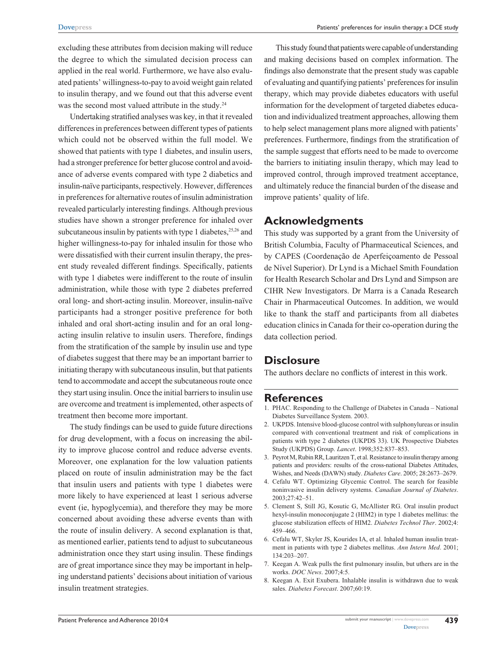excluding these attributes from decision making will reduce the degree to which the simulated decision process can applied in the real world. Furthermore, we have also evaluated patients' willingness-to-pay to avoid weight gain related to insulin therapy, and we found out that this adverse event was the second most valued attribute in the study.<sup>24</sup>

Undertaking stratified analyses was key, in that it revealed differences in preferences between different types of patients which could not be observed within the full model. We showed that patients with type 1 diabetes, and insulin users, had a stronger preference for better glucose control and avoidance of adverse events compared with type 2 diabetics and insulin-naïve participants, respectively. However, differences in preferences for alternative routes of insulin administration revealed particularly interesting findings. Although previous studies have shown a stronger preference for inhaled over subcutaneous insulin by patients with type 1 diabetes, $25,26$  and higher willingness-to-pay for inhaled insulin for those who were dissatisfied with their current insulin therapy, the present study revealed different findings. Specifically, patients with type 1 diabetes were indifferent to the route of insulin administration, while those with type 2 diabetes preferred oral long- and short-acting insulin. Moreover, insulin-naïve participants had a stronger positive preference for both inhaled and oral short-acting insulin and for an oral longacting insulin relative to insulin users. Therefore, findings from the stratification of the sample by insulin use and type of diabetes suggest that there may be an important barrier to initiating therapy with subcutaneous insulin, but that patients tend to accommodate and accept the subcutaneous route once they start using insulin. Once the initial barriers to insulin use are overcome and treatment is implemented, other aspects of treatment then become more important.

The study findings can be used to guide future directions for drug development, with a focus on increasing the ability to improve glucose control and reduce adverse events. Moreover, one explanation for the low valuation patients placed on route of insulin administration may be the fact that insulin users and patients with type 1 diabetes were more likely to have experienced at least 1 serious adverse event (ie, hypoglycemia), and therefore they may be more concerned about avoiding these adverse events than with the route of insulin delivery. A second explanation is that, as mentioned earlier, patients tend to adjust to subcutaneous administration once they start using insulin. These findings are of great importance since they may be important in helping understand patients' decisions about initiation of various insulin treatment strategies.

This study found that patients were capable of understanding and making decisions based on complex information. The findings also demonstrate that the present study was capable of evaluating and quantifying patients' preferences for insulin therapy, which may provide diabetes educators with useful information for the development of targeted diabetes education and individualized treatment approaches, allowing them to help select management plans more aligned with patients' preferences. Furthermore, findings from the stratification of the sample suggest that efforts need to be made to overcome the barriers to initiating insulin therapy, which may lead to improved control, through improved treatment acceptance, and ultimately reduce the financial burden of the disease and improve patients' quality of life.

## **Acknowledgments**

This study was supported by a grant from the University of British Columbia, Faculty of Pharmaceutical Sciences, and by CAPES (Coordenação de Aperfeiçoamento de Pessoal de Nível Superior). Dr Lynd is a Michael Smith Foundation for Health Research Scholar and Drs Lynd and Simpson are CIHR New Investigators. Dr Marra is a Canada Research Chair in Pharmaceutical Outcomes. In addition, we would like to thank the staff and participants from all diabetes education clinics in Canada for their co-operation during the data collection period.

## **Disclosure**

The authors declare no conflicts of interest in this work.

## **References**

- 1. PHAC. Responding to the Challenge of Diabetes in Canada National Diabetes Surveillance System. 2003.
- 2. UKPDS. Intensive blood-glucose control with sulphonylureas or insulin compared with conventional treatment and risk of complications in patients with type 2 diabetes (UKPDS 33). UK Prospective Diabetes Study (UKPDS) Group. *Lancet*. 1998;352:837–853.
- 3. Peyrot M, Rubin RR, Lauritzen T, et al. Resistance to insulin therapy among patients and providers: results of the cross-national Diabetes Attitudes, Wishes, and Needs (DAWN) study. *Diabetes Care*. 2005; 28:2673–2679.
- 4. Cefalu WT. Optimizing Glycemic Control. The search for feasible noninvasive insulin delivery systems. *Canadian Journal of Diabetes*. 2003;27:42–51.
- 5. Clement S, Still JG, Kosutic G, McAllister RG. Oral insulin product hexyl-insulin monoconjugate 2 (HIM2) in type 1 diabetes mellitus: the glucose stabilization effects of HIM2. *Diabetes Technol Ther*. 2002;4: 459–466.
- 6. Cefalu WT, Skyler JS, Kourides IA, et al. Inhaled human insulin treatment in patients with type 2 diabetes mellitus. *Ann Intern Med*. 2001; 134:203–207.
- 7. Keegan A. Weak pulls the first pulmonary insulin, but uthers are in the works. *DOC News*. 2007;4:5.
- 8. Keegan A. Exit Exubera. Inhalable insulin is withdrawn due to weak sales. *Diabetes Forecast*. 2007;60:19.